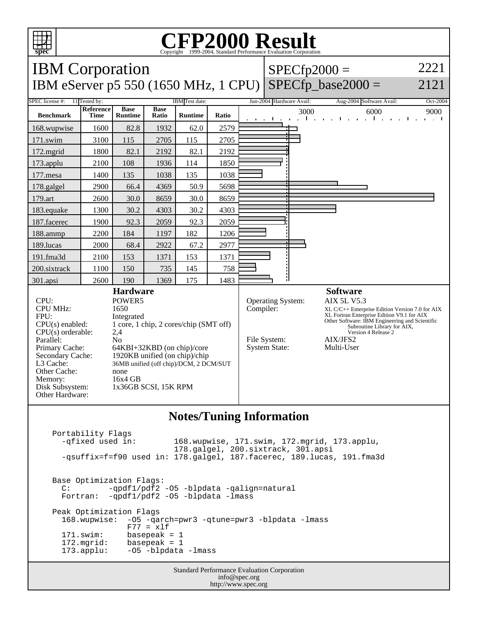

## Copyright ©1999-2004, Standard Performance Evaluation Corporation

| <b>IBM</b> Corporation                                                                                                                                                                                                                                                                                                                                                                                                                                                                                                                             |                          |                               |                                                                                                                                                                                                                                 |                |       |                          | 2221<br>$SPECfp2000 =$                                                                                                                                                                                                                                                                                                                        |                      |                                  |               |
|----------------------------------------------------------------------------------------------------------------------------------------------------------------------------------------------------------------------------------------------------------------------------------------------------------------------------------------------------------------------------------------------------------------------------------------------------------------------------------------------------------------------------------------------------|--------------------------|-------------------------------|---------------------------------------------------------------------------------------------------------------------------------------------------------------------------------------------------------------------------------|----------------|-------|--------------------------|-----------------------------------------------------------------------------------------------------------------------------------------------------------------------------------------------------------------------------------------------------------------------------------------------------------------------------------------------|----------------------|----------------------------------|---------------|
| IBM eServer p5 550 (1650 MHz, 1 CPU)                                                                                                                                                                                                                                                                                                                                                                                                                                                                                                               |                          |                               |                                                                                                                                                                                                                                 |                |       |                          |                                                                                                                                                                                                                                                                                                                                               |                      | $SPECfp\_base2000 =$             | 2121          |
| 11 Tested by:<br>SPEC license #:                                                                                                                                                                                                                                                                                                                                                                                                                                                                                                                   |                          |                               | IBM Test date:                                                                                                                                                                                                                  |                |       | Jun-2004 Hardware Avail: | Aug-2004 Software Avail:                                                                                                                                                                                                                                                                                                                      | Oct-2004             |                                  |               |
| <b>Benchmark</b>                                                                                                                                                                                                                                                                                                                                                                                                                                                                                                                                   | Reference<br><b>Time</b> | <b>Base</b><br><b>Runtime</b> | <b>Base</b><br>Ratio                                                                                                                                                                                                            | <b>Runtime</b> | Ratio |                          | п.                                                                                                                                                                                                                                                                                                                                            | 3000<br>$\mathbf{r}$ | 6000<br>The Contract<br>$-1 - 1$ | 9000<br>1. 1. |
| 168.wupwise                                                                                                                                                                                                                                                                                                                                                                                                                                                                                                                                        | 1600                     | 82.8                          | 1932                                                                                                                                                                                                                            | 62.0           | 2579  |                          |                                                                                                                                                                                                                                                                                                                                               |                      |                                  |               |
| 171.swim                                                                                                                                                                                                                                                                                                                                                                                                                                                                                                                                           | 3100                     | 115                           | 2705                                                                                                                                                                                                                            | 115            | 2705  |                          |                                                                                                                                                                                                                                                                                                                                               |                      |                                  |               |
| 172.mgrid                                                                                                                                                                                                                                                                                                                                                                                                                                                                                                                                          | 1800                     | 82.1                          | 2192                                                                                                                                                                                                                            | 82.1           | 2192  |                          |                                                                                                                                                                                                                                                                                                                                               |                      |                                  |               |
| 173.applu                                                                                                                                                                                                                                                                                                                                                                                                                                                                                                                                          | 2100                     | 108                           | 1936                                                                                                                                                                                                                            | 114            | 1850  |                          |                                                                                                                                                                                                                                                                                                                                               |                      |                                  |               |
| 177.mesa                                                                                                                                                                                                                                                                                                                                                                                                                                                                                                                                           | 1400                     | 135                           | 1038                                                                                                                                                                                                                            | 135            | 1038  |                          |                                                                                                                                                                                                                                                                                                                                               |                      |                                  |               |
| 178.galgel                                                                                                                                                                                                                                                                                                                                                                                                                                                                                                                                         | 2900                     | 66.4                          | 4369                                                                                                                                                                                                                            | 50.9           | 5698  |                          |                                                                                                                                                                                                                                                                                                                                               |                      |                                  |               |
| 179.art                                                                                                                                                                                                                                                                                                                                                                                                                                                                                                                                            | 2600                     | 30.0                          | 8659                                                                                                                                                                                                                            | 30.0           | 8659  |                          |                                                                                                                                                                                                                                                                                                                                               |                      |                                  |               |
| 183.equake                                                                                                                                                                                                                                                                                                                                                                                                                                                                                                                                         | 1300                     | 30.2                          | 4303                                                                                                                                                                                                                            | 30.2           | 4303  |                          |                                                                                                                                                                                                                                                                                                                                               |                      |                                  |               |
| 187.facerec                                                                                                                                                                                                                                                                                                                                                                                                                                                                                                                                        | 1900                     | 92.3                          | 2059                                                                                                                                                                                                                            | 92.3           | 2059  |                          |                                                                                                                                                                                                                                                                                                                                               |                      |                                  |               |
| 188.ammp                                                                                                                                                                                                                                                                                                                                                                                                                                                                                                                                           | 2200                     | 184                           | 1197                                                                                                                                                                                                                            | 182            | 1206  |                          |                                                                                                                                                                                                                                                                                                                                               |                      |                                  |               |
| 189.lucas                                                                                                                                                                                                                                                                                                                                                                                                                                                                                                                                          | 2000                     | 68.4                          | 2922                                                                                                                                                                                                                            | 67.2           | 2977  |                          |                                                                                                                                                                                                                                                                                                                                               |                      |                                  |               |
| 191.fma3d                                                                                                                                                                                                                                                                                                                                                                                                                                                                                                                                          | 2100                     | 153                           | 1371                                                                                                                                                                                                                            | 153            | 1371  |                          |                                                                                                                                                                                                                                                                                                                                               |                      |                                  |               |
| 200.sixtrack                                                                                                                                                                                                                                                                                                                                                                                                                                                                                                                                       | 1100                     | 150                           | 735                                                                                                                                                                                                                             | 145            | 758   |                          |                                                                                                                                                                                                                                                                                                                                               |                      |                                  |               |
| 301.apsi                                                                                                                                                                                                                                                                                                                                                                                                                                                                                                                                           | 2600                     | 190                           | 1369                                                                                                                                                                                                                            | 175            | 1483  |                          |                                                                                                                                                                                                                                                                                                                                               |                      |                                  |               |
| CPU:<br><b>CPU MHz:</b><br>1650<br>FPU:<br>$CPU(s)$ enabled:<br>$CPU(s)$ orderable:<br>2,4<br>Parallel:<br>N <sub>o</sub><br>Primary Cache:<br>Secondary Cache:<br>L3 Cache:<br>Other Cache:<br>none<br>Memory:<br>Disk Subsystem:<br>Other Hardware:                                                                                                                                                                                                                                                                                              |                          |                               | <b>Hardware</b><br>POWER5<br>Integrated<br>1 core, 1 chip, 2 cores/chip (SMT off)<br>64KBI+32KBD (on chip)/core<br>1920KB unified (on chip)/chip<br>36MB unified (off chip)/DCM, 2 DCM/SUT<br>$16x4$ GB<br>1x36GB SCSI, 15K RPM |                |       |                          | <b>Software</b><br>AIX 5L V5.3<br>Operating System:<br>Compiler:<br>$XL C/C++$ Enterprise Edition Version 7.0 for AIX<br>XL Fortran Enterprise Edition V9.1 for AIX<br>Other Software: IBM Engineering and Scientific<br>Subroutine Library for AIX,<br>Version 4 Release 2<br>AIX/JFS2<br>File System:<br><b>System State:</b><br>Multi-User |                      |                                  |               |
| <b>Notes/Tuning Information</b>                                                                                                                                                                                                                                                                                                                                                                                                                                                                                                                    |                          |                               |                                                                                                                                                                                                                                 |                |       |                          |                                                                                                                                                                                                                                                                                                                                               |                      |                                  |               |
| Portability Flags<br>-qfixed used in:<br>168.wupwise, 171.swim, 172.mgrid, 173.applu,<br>178.galgel, 200.sixtrack, 301.apsi<br>-qsuffix=f=f90 used in: 178.galgel, 187.facerec, 189.lucas, 191.fma3d<br>Base Optimization Flags:<br>-qpdf1/pdf2 -05 -blpdata -qalign=natural<br>C:<br>-qpdf1/pdf2 -05 -blpdata -lmass<br>Fortran:<br>Peak Optimization Flags<br>168.wupwise:<br>-05 - qarch=pwr3 - qtune=pwr3 - blpdata - lmass<br>$F77 = x1f$<br>171.swim:<br>basepeak = $1$<br>172.mgrid:<br>basepeak = $1$<br>-05 -blpdata -lmass<br>173.applu: |                          |                               |                                                                                                                                                                                                                                 |                |       |                          |                                                                                                                                                                                                                                                                                                                                               |                      |                                  |               |

| <b>Standard Performance Evaluation Corporation</b> |
|----------------------------------------------------|
| info@spec.org                                      |
| http://www.spec.org                                |